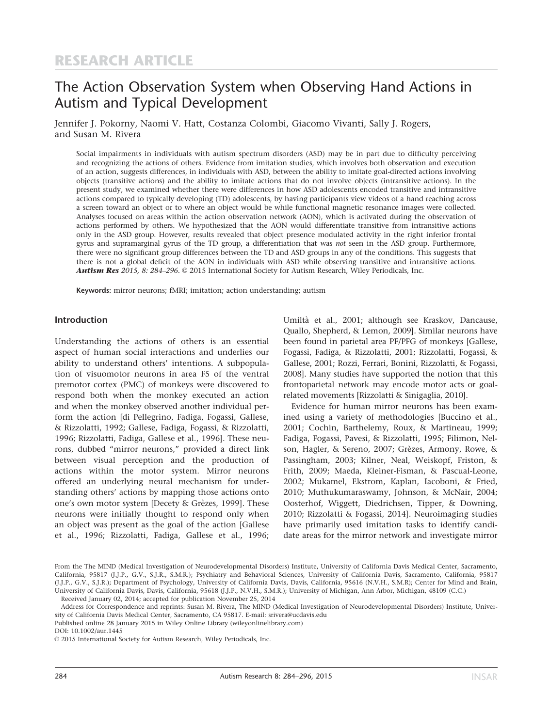# The Action Observation System when Observing Hand Actions in Autism and Typical Development

Jennifer J. Pokorny, Naomi V. Hatt, Costanza Colombi, Giacomo Vivanti, Sally J. Rogers, and Susan M. Rivera

Social impairments in individuals with autism spectrum disorders (ASD) may be in part due to difficulty perceiving and recognizing the actions of others. Evidence from imitation studies, which involves both observation and execution of an action, suggests differences, in individuals with ASD, between the ability to imitate goal-directed actions involving objects (transitive actions) and the ability to imitate actions that do not involve objects (intransitive actions). In the present study, we examined whether there were differences in how ASD adolescents encoded transitive and intransitive actions compared to typically developing (TD) adolescents, by having participants view videos of a hand reaching across a screen toward an object or to where an object would be while functional magnetic resonance images were collected. Analyses focused on areas within the action observation network (AON), which is activated during the observation of actions performed by others. We hypothesized that the AON would differentiate transitive from intransitive actions only in the ASD group. However, results revealed that object presence modulated activity in the right inferior frontal gyrus and supramarginal gyrus of the TD group, a differentiation that was not seen in the ASD group. Furthermore, there were no significant group differences between the TD and ASD groups in any of the conditions. This suggests that there is not a global deficit of the AON in individuals with ASD while observing transitive and intransitive actions. Autism Res 2015, 8: 284-296. 2015 International Society for Autism Research, Wiley Periodicals, Inc.

Keywords: mirror neurons; fMRI; imitation; action understanding; autism

#### Introduction

Understanding the actions of others is an essential aspect of human social interactions and underlies our ability to understand others' intentions. A subpopulation of visuomotor neurons in area F5 of the ventral premotor cortex (PMC) of monkeys were discovered to respond both when the monkey executed an action and when the monkey observed another individual perform the action [di Pellegrino, Fadiga, Fogassi, Gallese, & Rizzolatti, 1992; Gallese, Fadiga, Fogassi, & Rizzolatti, 1996; Rizzolatti, Fadiga, Gallese et al., 1996]. These neurons, dubbed "mirror neurons," provided a direct link between visual perception and the production of actions within the motor system. Mirror neurons offered an underlying neural mechanism for understanding others' actions by mapping those actions onto one's own motor system [Decety & Grèzes, 1999]. These neurons were initially thought to respond only when an object was present as the goal of the action [Gallese et al., 1996; Rizzolatti, Fadiga, Gallese et al., 1996;

Umiltà et al., 2001; although see Kraskov, Dancause, Quallo, Shepherd, & Lemon, 2009]. Similar neurons have been found in parietal area PF/PFG of monkeys [Gallese, Fogassi, Fadiga, & Rizzolatti, 2001; Rizzolatti, Fogassi, & Gallese, 2001; Rozzi, Ferrari, Bonini, Rizzolatti, & Fogassi, 2008]. Many studies have supported the notion that this frontoparietal network may encode motor acts or goalrelated movements [Rizzolatti & Sinigaglia, 2010].

Evidence for human mirror neurons has been examined using a variety of methodologies [Buccino et al., 2001; Cochin, Barthelemy, Roux, & Martineau, 1999; Fadiga, Fogassi, Pavesi, & Rizzolatti, 1995; Filimon, Nelson, Hagler, & Sereno, 2007; Grèzes, Armony, Rowe, & Passingham, 2003; Kilner, Neal, Weiskopf, Friston, & Frith, 2009; Maeda, Kleiner-Fisman, & Pascual-Leone, 2002; Mukamel, Ekstrom, Kaplan, Iacoboni, & Fried, 2010; Muthukumaraswamy, Johnson, & McNair, 2004; Oosterhof, Wiggett, Diedrichsen, Tipper, & Downing, 2010; Rizzolatti & Fogassi, 2014]. Neuroimaging studies have primarily used imitation tasks to identify candidate areas for the mirror network and investigate mirror

Received January 02, 2014; accepted for publication November 25, 2014

Published online 28 January 2015 in Wiley Online Library (wileyonlinelibrary.com)

From the The MIND (Medical Investigation of Neurodevelopmental Disorders) Institute, University of California Davis Medical Center, Sacramento, California, 95817 (J.J.P., G.V., S.J.R., S.M.R.); Psychiatry and Behavioral Sciences, University of California Davis, Sacramento, California, 95817 (J.J.P., G.V., S.J.R.); Department of Psychology, University of California Davis, Davis, California, 95616 (N.V.H., S.M.R); Center for Mind and Brain, University of California Davis, Davis, California, 95618 (J.J.P., N.V.H., S.M.R.); University of Michigan, Ann Arbor, Michigan, 48109 (C.C.)

Address for Correspondence and reprints: Susan M. Rivera, The MIND (Medical Investigation of Neurodevelopmental Disorders) Institute, University of California Davis Medical Center, Sacramento, CA 95817. E-mail: srivera@ucdavis.edu

DOI: 10.1002/aur.1445

 $©$  2015 International Society for Autism Research, Wiley Periodicals, Inc.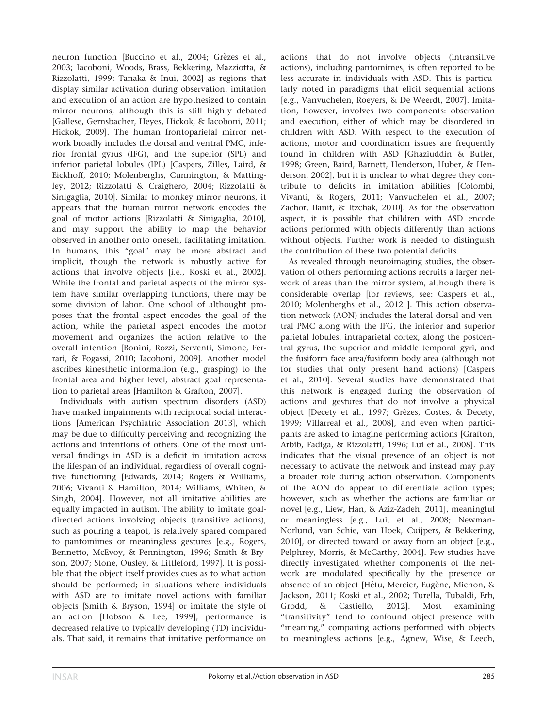neuron function [Buccino et al., 2004; Grèzes et al., 2003; Iacoboni, Woods, Brass, Bekkering, Mazziotta, & Rizzolatti, 1999; Tanaka & Inui, 2002] as regions that display similar activation during observation, imitation and execution of an action are hypothesized to contain mirror neurons, although this is still highly debated [Gallese, Gernsbacher, Heyes, Hickok, & Iacoboni, 2011; Hickok, 2009]. The human frontoparietal mirror network broadly includes the dorsal and ventral PMC, inferior frontal gyrus (IFG), and the superior (SPL) and inferior parietal lobules (IPL) [Caspers, Zilles, Laird, & Eickhoff, 2010; Molenberghs, Cunnington, & Mattingley, 2012; Rizzolatti & Craighero, 2004; Rizzolatti & Sinigaglia, 2010]. Similar to monkey mirror neurons, it appears that the human mirror network encodes the goal of motor actions [Rizzolatti & Sinigaglia, 2010], and may support the ability to map the behavior observed in another onto oneself, facilitating imitation. In humans, this "goal" may be more abstract and implicit, though the network is robustly active for actions that involve objects [i.e., Koski et al., 2002]. While the frontal and parietal aspects of the mirror system have similar overlapping functions, there may be some division of labor. One school of althought proposes that the frontal aspect encodes the goal of the action, while the parietal aspect encodes the motor movement and organizes the action relative to the overall intention [Bonini, Rozzi, Serventi, Simone, Ferrari, & Fogassi, 2010; Iacoboni, 2009]. Another model ascribes kinesthetic information (e.g., grasping) to the frontal area and higher level, abstract goal representation to parietal areas [Hamilton & Grafton, 2007].

Individuals with autism spectrum disorders (ASD) have marked impairments with reciprocal social interactions [American Psychiatric Association 2013], which may be due to difficulty perceiving and recognizing the actions and intentions of others. One of the most universal findings in ASD is a deficit in imitation across the lifespan of an individual, regardless of overall cognitive functioning [Edwards, 2014; Rogers & Williams, 2006; Vivanti & Hamilton, 2014; Williams, Whiten, & Singh, 2004]. However, not all imitative abilities are equally impacted in autism. The ability to imitate goaldirected actions involving objects (transitive actions), such as pouring a teapot, is relatively spared compared to pantomimes or meaningless gestures [e.g., Rogers, Bennetto, McEvoy, & Pennington, 1996; Smith & Bryson, 2007; Stone, Ousley, & Littleford, 1997]. It is possible that the object itself provides cues as to what action should be performed; in situations where individuals with ASD are to imitate novel actions with familiar objects [Smith & Bryson, 1994] or imitate the style of an action [Hobson & Lee, 1999], performance is decreased relative to typically developing (TD) individuals. That said, it remains that imitative performance on

actions that do not involve objects (intransitive actions), including pantomimes, is often reported to be less accurate in individuals with ASD. This is particularly noted in paradigms that elicit sequential actions [e.g., Vanvuchelen, Roeyers, & De Weerdt, 2007]. Imitation, however, involves two components: observation and execution, either of which may be disordered in children with ASD. With respect to the execution of actions, motor and coordination issues are frequently found in children with ASD [Ghaziuddin & Butler, 1998; Green, Baird, Barnett, Henderson, Huber, & Henderson, 2002], but it is unclear to what degree they contribute to deficits in imitation abilities [Colombi, Vivanti, & Rogers, 2011; Vanvuchelen et al., 2007; Zachor, Ilanit, & Itzchak, 2010]. As for the observation aspect, it is possible that children with ASD encode actions performed with objects differently than actions without objects. Further work is needed to distinguish the contribution of these two potential deficits.

As revealed through neuroimaging studies, the observation of others performing actions recruits a larger network of areas than the mirror system, although there is considerable overlap [for reviews, see: Caspers et al., 2010; Molenberghs et al., 2012 ]. This action observation network (AON) includes the lateral dorsal and ventral PMC along with the IFG, the inferior and superior parietal lobules, intraparietal cortex, along the postcentral gyrus, the superior and middle temporal gyri, and the fusiform face area/fusiform body area (although not for studies that only present hand actions) [Caspers et al., 2010]. Several studies have demonstrated that this network is engaged during the observation of actions and gestures that do not involve a physical object [Decety et al., 1997; Grèzes, Costes, & Decety, 1999; Villarreal et al., 2008], and even when participants are asked to imagine performing actions [Grafton, Arbib, Fadiga, & Rizzolatti, 1996; Lui et al., 2008]. This indicates that the visual presence of an object is not necessary to activate the network and instead may play a broader role during action observation. Components of the AON do appear to differentiate action types; however, such as whether the actions are familiar or novel [e.g., Liew, Han, & Aziz-Zadeh, 2011], meaningful or meaningless [e.g., Lui, et al., 2008; Newman-Norlund, van Schie, van Hoek, Cuijpers, & Bekkering, 2010], or directed toward or away from an object [e.g., Pelphrey, Morris, & McCarthy, 2004]. Few studies have directly investigated whether components of the network are modulated specifically by the presence or absence of an object [Hétu, Mercier, Eugène, Michon, & Jackson, 2011; Koski et al., 2002; Turella, Tubaldi, Erb, Grodd, & Castiello, 2012]. Most examining "transitivity" tend to confound object presence with "meaning," comparing actions performed with objects to meaningless actions [e.g., Agnew, Wise, & Leech,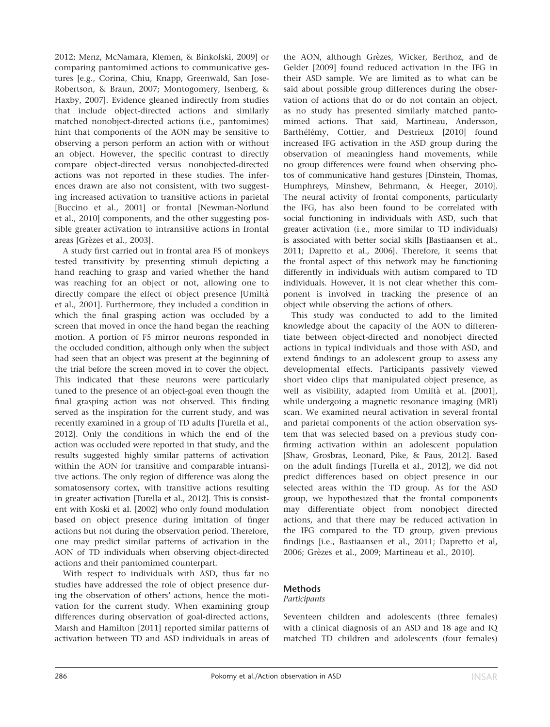2012; Menz, McNamara, Klemen, & Binkofski, 2009] or comparing pantomimed actions to communicative gestures [e.g., Corina, Chiu, Knapp, Greenwald, San Jose-Robertson, & Braun, 2007; Montogomery, Isenberg, & Haxby, 2007]. Evidence gleaned indirectly from studies that include object-directed actions and similarly matched nonobject-directed actions (i.e., pantomimes) hint that components of the AON may be sensitive to observing a person perform an action with or without an object. However, the specific contrast to directly compare object-directed versus nonobjected-directed actions was not reported in these studies. The inferences drawn are also not consistent, with two suggesting increased activation to transitive actions in parietal [Buccino et al., 2001] or frontal [Newman-Norlund et al., 2010] components, and the other suggesting possible greater activation to intransitive actions in frontal areas [Grèzes et al., 2003].

A study first carried out in frontal area F5 of monkeys tested transitivity by presenting stimuli depicting a hand reaching to grasp and varied whether the hand was reaching for an object or not, allowing one to directly compare the effect of object presence [Umiltà et al., 2001]. Furthermore, they included a condition in which the final grasping action was occluded by a screen that moved in once the hand began the reaching motion. A portion of F5 mirror neurons responded in the occluded condition, although only when the subject had seen that an object was present at the beginning of the trial before the screen moved in to cover the object. This indicated that these neurons were particularly tuned to the presence of an object-goal even though the final grasping action was not observed. This finding served as the inspiration for the current study, and was recently examined in a group of TD adults [Turella et al., 2012]. Only the conditions in which the end of the action was occluded were reported in that study, and the results suggested highly similar patterns of activation within the AON for transitive and comparable intransitive actions. The only region of difference was along the somatosensory cortex, with transitive actions resulting in greater activation [Turella et al., 2012]. This is consistent with Koski et al. [2002] who only found modulation based on object presence during imitation of finger actions but not during the observation period. Therefore, one may predict similar patterns of activation in the AON of TD individuals when observing object-directed actions and their pantomimed counterpart.

With respect to individuals with ASD, thus far no studies have addressed the role of object presence during the observation of others' actions, hence the motivation for the current study. When examining group differences during observation of goal-directed actions, Marsh and Hamilton [2011] reported similar patterns of activation between TD and ASD individuals in areas of the AON, although Grèzes, Wicker, Berthoz, and de Gelder [2009] found reduced activation in the IFG in their ASD sample. We are limited as to what can be said about possible group differences during the observation of actions that do or do not contain an object, as no study has presented similarly matched pantomimed actions. That said, Martineau, Andersson, Barthélémy, Cottier, and Destrieux [2010] found increased IFG activation in the ASD group during the observation of meaningless hand movements, while no group differences were found when observing photos of communicative hand gestures [Dinstein, Thomas, Humphreys, Minshew, Behrmann, & Heeger, 2010]. The neural activity of frontal components, particularly the IFG, has also been found to be correlated with social functioning in individuals with ASD, such that greater activation (i.e., more similar to TD individuals) is associated with better social skills [Bastiaansen et al., 2011; Dapretto et al., 2006]. Therefore, it seems that the frontal aspect of this network may be functioning differently in individuals with autism compared to TD individuals. However, it is not clear whether this component is involved in tracking the presence of an object while observing the actions of others.

This study was conducted to add to the limited knowledge about the capacity of the AON to differentiate between object-directed and nonobject directed actions in typical individuals and those with ASD, and extend findings to an adolescent group to assess any developmental effects. Participants passively viewed short video clips that manipulated object presence, as well as visibility, adapted from Umiltà et al. [2001], while undergoing a magnetic resonance imaging (MRI) scan. We examined neural activation in several frontal and parietal components of the action observation system that was selected based on a previous study confirming activation within an adolescent population [Shaw, Grosbras, Leonard, Pike, & Paus, 2012]. Based on the adult findings [Turella et al., 2012], we did not predict differences based on object presence in our selected areas within the TD group. As for the ASD group, we hypothesized that the frontal components may differentiate object from nonobject directed actions, and that there may be reduced activation in the IFG compared to the TD group, given previous findings [i.e., Bastiaansen et al., 2011; Dapretto et al, 2006; Grèzes et al., 2009; Martineau et al., 2010].

# Methods

#### Participants

Seventeen children and adolescents (three females) with a clinical diagnosis of an ASD and 18 age and IQ matched TD children and adolescents (four females)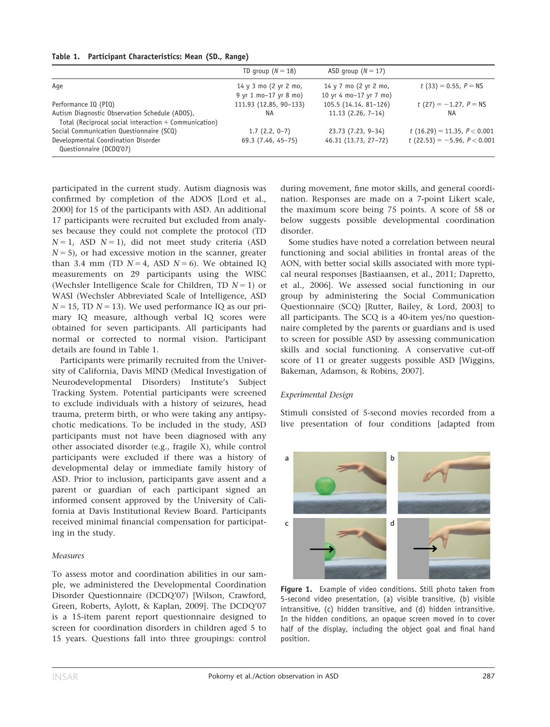|  | Table 1. Participant Characteristics: Mean (SD., Range) |  |  |
|--|---------------------------------------------------------|--|--|
|  |                                                         |  |  |

|                                                                                                           | TD group $(N = 18)$                                                   | ASD group $(N = 17)$                            |                                |
|-----------------------------------------------------------------------------------------------------------|-----------------------------------------------------------------------|-------------------------------------------------|--------------------------------|
| Age                                                                                                       | 14 y 3 mo (2 yr 2 mo,<br>9 yr $1 \text{ mo} - 17$ yr $8 \text{ mo}$ ) | 14 y 7 mo (2 yr 2 mo,<br>10 yr 4 mo-17 yr 7 mo) | t (33) = 0.55, $P = NS$        |
| Performance IQ (PIQ)                                                                                      | 111.93 (12.85, 90-133)                                                | 105.5 (14.14, 81-126)                           | t (27) = $-1.27$ , $P = NS$    |
| Autism Diagnostic Observation Schedule (ADOS),<br>Total (Reciprocal social interaction $+$ Communication) | NA.                                                                   | $11.13(2.26, 7-14)$                             | NA                             |
| Social Communication Questionnaire (SCQ)                                                                  | $1.7(2.2, 0-7)$                                                       | $23.73(7.23, 9-34)$                             | t (16.29) = 11.35, $P < 0.001$ |
| Developmental Coordination Disorder<br>Questionnaire (DCDQ'07)                                            | $69.3(7.46, 45-75)$                                                   | 46.31 (13.73, 27-72)                            | t (22.53) = -5.96, $P < 0.001$ |

participated in the current study. Autism diagnosis was confirmed by completion of the ADOS [Lord et al., 2000] for 15 of the participants with ASD. An additional 17 participants were recruited but excluded from analyses because they could not complete the protocol (TD  $N = 1$ , ASD  $N = 1$ ), did not meet study criteria (ASD  $N = 5$ ), or had excessive motion in the scanner, greater than 3.4 mm (TD  $N = 4$ , ASD  $N = 6$ ). We obtained IQ measurements on 29 participants using the WISC (Wechsler Intelligence Scale for Children, TD  $N = 1$ ) or WASI (Wechsler Abbreviated Scale of Intelligence, ASD  $N = 15$ , TD  $N = 13$ ). We used performance IQ as our primary IQ measure, although verbal IQ scores were obtained for seven participants. All participants had normal or corrected to normal vision. Participant details are found in Table 1.

Participants were primarily recruited from the University of California, Davis MIND (Medical Investigation of Neurodevelopmental Disorders) Institute's Subject Tracking System. Potential participants were screened to exclude individuals with a history of seizures, head trauma, preterm birth, or who were taking any antipsychotic medications. To be included in the study, ASD participants must not have been diagnosed with any other associated disorder (e.g., fragile X), while control participants were excluded if there was a history of developmental delay or immediate family history of ASD. Prior to inclusion, participants gave assent and a parent or guardian of each participant signed an informed consent approved by the University of California at Davis Institutional Review Board. Participants received minimal financial compensation for participating in the study.

#### Measures

To assess motor and coordination abilities in our sample, we administered the Developmental Coordination Disorder Questionnaire (DCDQ'07) [Wilson, Crawford, Green, Roberts, Aylott, & Kaplan, 2009]. The DCDQ'07 is a 15-item parent report questionnaire designed to screen for coordination disorders in children aged 5 to 15 years. Questions fall into three groupings: control

during movement, fine motor skills, and general coordination. Responses are made on a 7-point Likert scale, the maximum score being 75 points. A score of 58 or below suggests possible developmental coordination disorder.

Some studies have noted a correlation between neural functioning and social abilities in frontal areas of the AON, with better social skills associated with more typical neural responses [Bastiaansen, et al., 2011; Dapretto, et al., 2006]. We assessed social functioning in our group by administering the Social Communication Questionnaire (SCQ) [Rutter, Bailey, & Lord, 2003] to all participants. The SCQ is a 40-item yes/no questionnaire completed by the parents or guardians and is used to screen for possible ASD by assessing communication skills and social functioning. A conservative cut-off score of 11 or greater suggests possible ASD [Wiggins, Bakeman, Adamson, & Robins, 2007].

# Experimental Design

Stimuli consisted of 5-second movies recorded from a live presentation of four conditions [adapted from



Figure 1. Example of video conditions. Still photo taken from 5-second video presentation, (a) visible transitive, (b) visible intransitive, (c) hidden transitive, and (d) hidden intransitive. In the hidden conditions, an opaque screen moved in to cover half of the display, including the object goal and final hand position.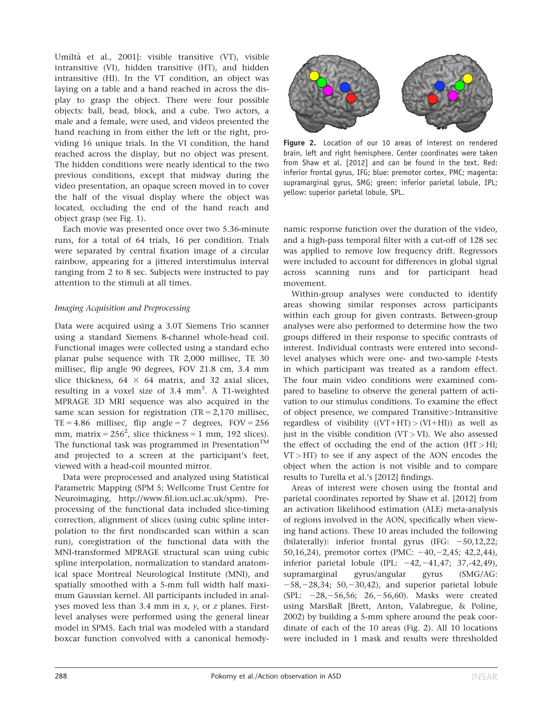Umiltà et al., 2001]: visible transitive (VT), visible intransitive (VI), hidden transitive (HT), and hidden intransitive (HI). In the VT condition, an object was laying on a table and a hand reached in across the display to grasp the object. There were four possible objects: ball, bead, block, and a cube. Two actors, a male and a female, were used, and videos presented the hand reaching in from either the left or the right, providing 16 unique trials. In the VI condition, the hand reached across the display, but no object was present. The hidden conditions were nearly identical to the two previous conditions, except that midway during the video presentation, an opaque screen moved in to cover the half of the visual display where the object was located, occluding the end of the hand reach and object grasp (see Fig. 1).

Each movie was presented once over two 5.36-minute runs, for a total of 64 trials, 16 per condition. Trials were separated by central fixation image of a circular rainbow, appearing for a jittered interstimulus interval ranging from 2 to 8 sec. Subjects were instructed to pay attention to the stimuli at all times.

# Imaging Acquisition and Preprocessing

Data were acquired using a 3.0T Siemens Trio scanner using a standard Siemens 8-channel whole-head coil. Functional images were collected using a standard echo planar pulse sequence with TR 2,000 millisec, TE 30 millisec, flip angle 90 degrees, FOV 21.8 cm, 3.4 mm slice thickness,  $64 \times 64$  matrix, and 32 axial slices, resulting in a voxel size of  $3.4~\text{mm}^3$ . A T1-weighted MPRAGE 3D MRI sequence was also acquired in the same scan session for registration (TR =  $2,170$  millisec,  $TE = 4.86$  millisec, flip angle = 7 degrees,  $FOV = 256$ mm, matrix =  $256^2$ , slice thickness = 1 mm, 192 slices). The functional task was programmed in Presentation<sup>TM</sup> and projected to a screen at the participant's feet, viewed with a head-coil mounted mirror.

Data were preprocessed and analyzed using Statistical Parametric Mapping (SPM 5; Wellcome Trust Centre for Neuroimaging, [http://www.fil.ion.ucl.ac.uk/spm\)](http://www.fil.ion.ucl.ac.uk/spm). Preprocessing of the functional data included slice-timing correction, alignment of slices (using cubic spline interpolation to the first nondiscarded scan within a scan run), coregistration of the functional data with the MNI-transformed MPRAGE structural scan using cubic spline interpolation, normalization to standard anatomical space Montreal Neurological Institute (MNI), and spatially smoothed with a 5-mm full width half maximum Gaussian kernel. All participants included in analyses moved less than 3.4 mm in  $x$ ,  $y$ , or  $z$  planes. Firstlevel analyses were performed using the general linear model in SPM5. Each trial was modeled with a standard boxcar function convolved with a canonical hemody-



Figure 2. Location of our 10 areas of interest on rendered brain, left and right hemisphere. Center coordinates were taken from Shaw et al. [2012] and can be found in the text. Red: inferior frontal gyrus, IFG; blue: premotor cortex, PMC; magenta: supramarginal gyrus, SMG; green: inferior parietal lobule, IPL; yellow: superior parietal lobule, SPL.

namic response function over the duration of the video, and a high-pass temporal filter with a cut-off of 128 sec was applied to remove low frequency drift. Regressors were included to account for differences in global signal across scanning runs and for participant head movement.

Within-group analyses were conducted to identify areas showing similar responses across participants within each group for given contrasts. Between-group analyses were also performed to determine how the two groups differed in their response to specific contrasts of interest. Individual contrasts were entered into secondlevel analyses which were one- and two-sample t-tests in which participant was treated as a random effect. The four main video conditions were examined compared to baseline to observe the general pattern of activation to our stimulus conditions. To examine the effect of object presence, we compared Transitive>Intransitive regardless of visibility  $((VT+HT) > (VI+HI))$  as well as just in the visible condition  $(VT>VI)$ . We also assessed the effect of occluding the end of the action  $(HT > HI;$  $VT > HT$ ) to see if any aspect of the AON encodes the object when the action is not visible and to compare results to Turella et al.'s [2012] findings.

Areas of interest were chosen using the frontal and parietal coordinates reported by Shaw et al. [2012] from an activation likelihood estimation (ALE) meta-analysis of regions involved in the AON, specifically when viewing hand actions. These 10 areas included the following (bilaterally): inferior frontal gyrus (IFG:  $-50,12,22$ ; 50,16,24), premotor cortex (PMC:  $-40, -2, 45$ ; 42,2,44), inferior parietal lobule (IPL:  $-42, -41, 47; 37, -42, 49$ ), supramarginal gyrus/angular gyrus (SMG/AG:  $-58, -28, 34; 50, -30, 42$ , and superior parietal lobule (SPL:  $-28, -56, 56$ ; 26,  $-56, 60$ ). Masks were created using MarsBaR [Brett, Anton, Valabregue, & Poline, 2002) by building a 5-mm sphere around the peak coordinate of each of the 10 areas (Fig. 2). All 10 locations were included in 1 mask and results were thresholded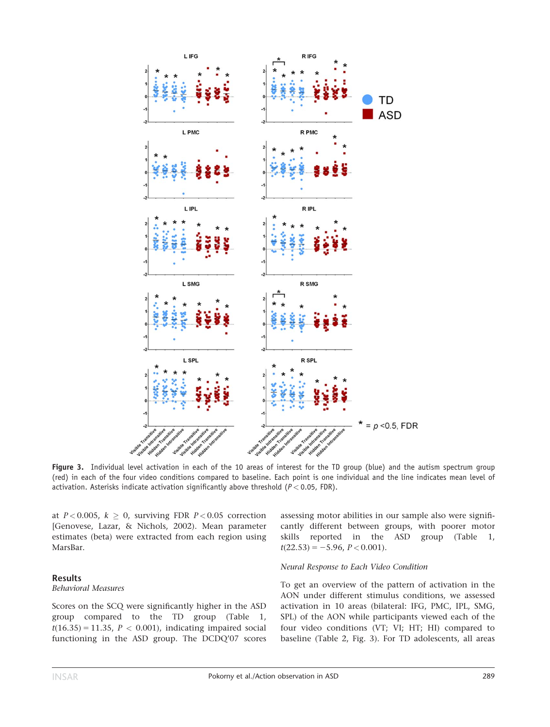

Figure 3. Individual level activation in each of the 10 areas of interest for the TD group (blue) and the autism spectrum group (red) in each of the four video conditions compared to baseline. Each point is one individual and the line indicates mean level of activation. Asterisks indicate activation significantly above threshold ( $P < 0.05$ , FDR).

at  $P < 0.005$ ,  $k \geq 0$ , surviving FDR  $P < 0.05$  correction [Genovese, Lazar, & Nichols, 2002). Mean parameter estimates (beta) were extracted from each region using MarsBar.

# Results

#### Behavioral Measures

Scores on the SCQ were significantly higher in the ASD group compared to the TD group (Table 1,  $t(16.35) = 11.35$ ,  $P < 0.001$ ), indicating impaired social functioning in the ASD group. The DCDQ'07 scores

assessing motor abilities in our sample also were significantly different between groups, with poorer motor skills reported in the ASD group (Table 1,  $t(22.53) = -5.96$ ,  $P < 0.001$ ).

#### Neural Response to Each Video Condition

To get an overview of the pattern of activation in the AON under different stimulus conditions, we assessed activation in 10 areas (bilateral: IFG, PMC, IPL, SMG, SPL) of the AON while participants viewed each of the four video conditions (VT; VI; HT; HI) compared to baseline (Table 2, Fig. 3). For TD adolescents, all areas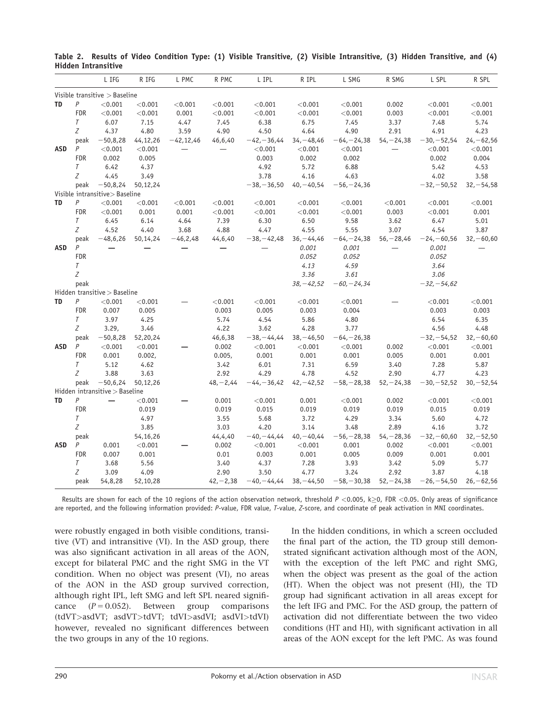|            |                               | L IFG                           | R IFG    | L PMC         | R PMC        | L IPL          | R IPL         | L SMG          | R SMG         | L SPL          | R SPL         |
|------------|-------------------------------|---------------------------------|----------|---------------|--------------|----------------|---------------|----------------|---------------|----------------|---------------|
|            |                               | Visible transitive > Baseline   |          |               |              |                |               |                |               |                |               |
| <b>TD</b>  | P                             | < 0.001                         | < 0.001  | < 0.001       | < 0.001      | < 0.001        | < 0.001       | < 0.001        | 0.002         | < 0.001        | < 0.001       |
|            | <b>FDR</b>                    | < 0.001                         | < 0.001  | 0.001         | < 0.001      | < 0.001        | < 0.001       | < 0.001        | 0.003         | < 0.001        | < 0.001       |
|            | $\mathcal T$                  | 6.07                            | 7.15     | 4.47          | 7.45         | 6.38           | 6.75          | 7.45           | 3.37          | 7.48           | 5.74          |
|            | Z                             | 4.37                            | 4.80     | 3.59          | 4.90         | 4.50           | 4.64          | 4.90           | 2.91          | 4.91           | 4.23          |
|            | peak                          | $-50,8,28$                      | 44,12,26 | $-42, 12, 46$ | 46,6,40      | $-42, -36, 44$ | $34, -48, 46$ | $-64, -24, 38$ | $54, -24, 38$ | $-30, -52, 54$ | $24, -62, 56$ |
| <b>ASD</b> | P                             | < 0.001                         | < 0.001  |               |              | < 0.001        | < 0.001       | < 0.001        |               | < 0.001        | < 0.001       |
|            | <b>FDR</b>                    | 0.002                           | 0.005    |               |              | 0.003          | 0.002         | 0.002          |               | 0.002          | 0.004         |
|            | Τ                             | 6.42                            | 4.37     |               |              | 4.92           | 5.72          | 6.88           |               | 5.42           | 4.53          |
|            | Z                             | 4.45                            | 3.49     |               |              | 3.78           | 4.16          | 4.63           |               | 4.02           | 3.58          |
|            | peak                          | $-50,8,24$                      | 50,12,24 |               |              | $-38, -36, 50$ | $40, -40, 54$ | $-56, -24, 36$ |               | $-32, -50, 52$ | $32, -54, 58$ |
|            |                               | Visible intransitive > Baseline |          |               |              |                |               |                |               |                |               |
| <b>TD</b>  | P                             | < 0.001                         | < 0.001  | < 0.001       | < 0.001      | < 0.001        | < 0.001       | < 0.001        | < 0.001       | < 0.001        | < 0.001       |
|            | <b>FDR</b>                    | < 0.001                         | 0.001    | 0.001         | < 0.001      | < 0.001        | < 0.001       | < 0.001        | 0.003         | < 0.001        | 0.001         |
|            | $\tau$                        | 6.45                            | 6.14     | 4.64          | 7.39         | 6.30           | 6.50          | 9.58           | 3.62          | 6.47           | 5.01          |
|            | Ζ                             | 4.52                            | 4.40     | 3.68          | 4.88         | 4.47           | 4.55          | 5.55           | 3.07          | 4.54           | 3.87          |
|            | peak                          | $-48, 6, 26$                    | 50,14,24 | $-46,2,48$    | 44,6,40      | $-38, -42, 48$ | $36, -44, 46$ | $-64, -24, 38$ | $56, -28, 46$ | $-24, -60, 56$ | $32, -60, 60$ |
| <b>ASD</b> | P                             |                                 |          |               |              |                | 0.001         | 0.001          |               | 0.001          |               |
|            | <b>FDR</b>                    |                                 |          |               |              |                | 0.052         | 0.052          |               | 0.052          |               |
|            | $\cal T$                      |                                 |          |               |              |                | 4.13          | 4.59           |               | 3.64           |               |
|            | $\ensuremath{\mathnormal{Z}}$ |                                 |          |               |              |                | 3.36          | 3.61           |               | 3.06           |               |
|            | peak                          |                                 |          |               |              |                | $38, -42, 52$ | $-60, -24, 34$ |               | $-32, -54, 62$ |               |
|            |                               | Hidden transitive > Baseline    |          |               |              |                |               |                |               |                |               |
| <b>TD</b>  | P                             | < 0.001                         | < 0.001  |               | < 0.001      | < 0.001        | < 0.001       | < 0.001        |               | < 0.001        | < 0.001       |
|            | <b>FDR</b>                    | 0.007                           | 0.005    |               | 0.003        | 0.005          | 0.003         | 0.004          |               | 0.003          | 0.003         |
|            | $\cal T$                      | 3.97                            | 4.25     |               | 5.74         | 4.54           | 5.86          | 4.80           |               | 6.54           | 6.35          |
|            | Ζ                             | 3.29,                           | 3.46     |               | 4.22         | 3.62           | 4.28          | 3.77           |               | 4.56           | 4.48          |
|            | peak                          | $-50,8,28$                      | 52,20,24 |               | 46,6,38      | $-38, -44, 44$ | $38, -46, 50$ | $-64, -26, 38$ |               | $-32, -54, 52$ | $32, -60, 60$ |
| <b>ASD</b> | P                             | < 0.001                         | < 0.001  |               | 0.002        | < 0.001        | < 0.001       | < 0.001        | 0.002         | < 0.001        | < 0.001       |
|            | <b>FDR</b>                    | 0.001                           | 0.002,   |               | 0.005,       | 0.001          | 0.001         | 0.001          | 0.005         | 0.001          | 0.001         |
|            | $\tau$                        | 5.12                            | 4.62     |               | 3.42         | 6.01           | 7.31          | 6.59           | 3.40          | 7.28           | 5.87          |
|            | Z                             | 3.88                            | 3.63     |               | 2.92         | 4.29           | 4.78          | 4.52           | 2.90          | 4.77           | 4.23          |
|            | peak                          | $-50,6,24$                      | 50,12,26 |               | $48, -2, 44$ | $-44, -36, 42$ | $42, -42, 52$ | $-58, -28, 38$ | $52, -24, 38$ | $-30, -52, 52$ | $30, -52, 54$ |
|            |                               | Hidden intransitive > Baseline  |          |               |              |                |               |                |               |                |               |
| <b>TD</b>  | P                             |                                 | < 0.001  |               | 0.001        | < 0.001        | 0.001         | < 0.001        | 0.002         | < 0.001        | < 0.001       |
|            | <b>FDR</b>                    |                                 | 0.019    |               | 0.019        | 0.015          | 0.019         | 0.019          | 0.019         | 0.015          | 0.019         |
|            | $\mathcal T$                  |                                 | 4.97     |               | 3.55         | 5.68           | 3.72          | 4.29           | 3.34          | 5.60           | 4.72          |
|            | Z                             |                                 | 3.85     |               | 3.03         | 4.20           | 3.14          | 3.48           | 2.89          | 4.16           | 3.72          |
|            | peak                          |                                 | 54,16,26 |               | 44,4,40      | $-40, -44, 44$ | $40, -40, 44$ | $-56, -28, 38$ | $54, -28, 36$ | $-32, -60, 60$ | $32, -52, 50$ |
| <b>ASD</b> | $\overline{P}$                | 0.001                           | < 0.001  |               | 0.002        | < 0.001        | < 0.001       | 0.001          | 0.002         | < 0.001        | < 0.001       |
|            | <b>FDR</b>                    | 0.007                           | 0.001    |               | 0.01         | 0.003          | 0.001         | 0.005          | 0.009         | 0.001          | 0.001         |
|            | $\tau$                        | 3.68                            | 5.56     |               | 3.40         | 4.37           | 7.28          | 3.93           | 3.42          | 5.09           | 5.77          |
|            | Ζ                             | 3.09                            | 4.09     |               | 2.90         | 3.50           | 4.77          | 3.24           | 2.92          | 3.87           | 4.18          |
| peak       |                               |                                 |          |               |              |                |               |                |               |                |               |

Table 2. Results of Video Condition Type: (1) Visible Transitive, (2) Visible Intransitive, (3) Hidden Transitive, and (4) Hidden Intransitive

Results are shown for each of the 10 regions of the action observation network, threshold P <0.005, k $\geq$ 0, FDR <0.05. Only areas of significance are reported, and the following information provided: P-value, FDR value, T-value, Z-score, and coordinate of peak activation in MNI coordinates.

were robustly engaged in both visible conditions, transitive (VT) and intransitive (VI). In the ASD group, there was also significant activation in all areas of the AON, except for bilateral PMC and the right SMG in the VT condition. When no object was present (VI), no areas of the AON in the ASD group survived correction, although right IPL, left SMG and left SPL neared significance  $(P = 0.052)$ . Between group comparisons (tdVT>asdVT; asdVT>tdVT; tdVI>asdVI; asdVI>tdVI) however, revealed no significant differences between the two groups in any of the 10 regions.

In the hidden conditions, in which a screen occluded the final part of the action, the TD group still demonstrated significant activation although most of the AON, with the exception of the left PMC and right SMG, when the object was present as the goal of the action (HT). When the object was not present (HI), the TD group had significant activation in all areas except for the left IFG and PMC. For the ASD group, the pattern of activation did not differentiate between the two video conditions (HT and HI), with significant activation in all areas of the AON except for the left PMC. As was found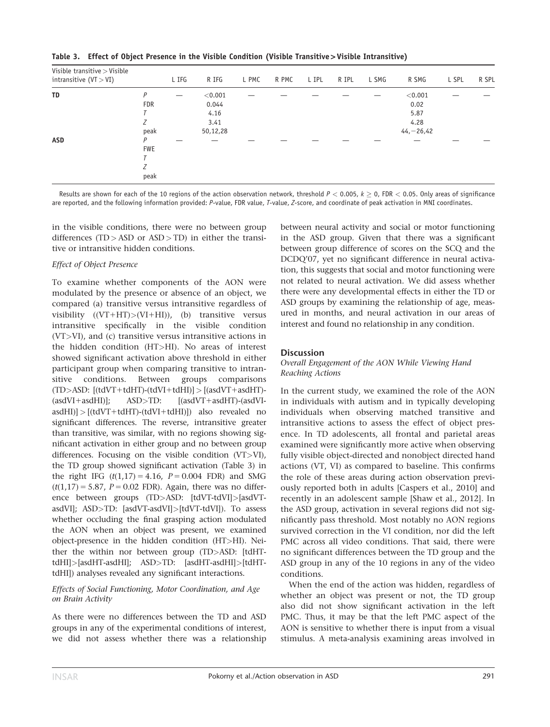Table 3. Effect of Object Presence in the Visible Condition (Visible Transitive > Visible Intransitive)

| Visible transitive > Visible<br>intransitive $(VT > VI)$ |                         | L IFG           | R IFG                                        | L PMC | R PMC | L IPL | R IPL | L SMG | R SMG                                            | L SPL | R SPL |
|----------------------------------------------------------|-------------------------|-----------------|----------------------------------------------|-------|-------|-------|-------|-------|--------------------------------------------------|-------|-------|
| TD                                                       | P<br><b>FDR</b><br>peak | $\qquad \qquad$ | < 0.001<br>0.044<br>4.16<br>3.41<br>50,12,28 |       |       |       |       |       | < 0.001<br>0.02<br>5.87<br>4.28<br>$44, -26, 42$ |       |       |
| ASD                                                      | P<br><b>FWE</b><br>peak |                 |                                              |       |       |       |       |       |                                                  |       |       |

Results are shown for each of the 10 regions of the action observation network, threshold  $P <$  0.005,  $k \geq$  0, FDR  $<$  0.05. Only areas of significance are reported, and the following information provided: P-value, FDR value, T-value, Z-score, and coordinate of peak activation in MNI coordinates.

in the visible conditions, there were no between group differences  $(TD > ASD$  or  $ASD > TD$ ) in either the transitive or intransitive hidden conditions.

#### Effect of Object Presence

To examine whether components of the AON were modulated by the presence or absence of an object, we compared (a) transitive versus intransitive regardless of visibility  $((VT+HT)>(VI+HI))$ , (b) transitive versus intransitive specifically in the visible condition (VT>VI), and (c) transitive versus intransitive actions in the hidden condition (HT>HI). No areas of interest showed significant activation above threshold in either participant group when comparing transitive to intransitive conditions. Between groups comparisons  $(TD > ASD: [(tdVT + tdHT)-(tdVI + tdHI)] > [(asdVT + asdHT) (asdV1+asdHI);$  ASD>TD:  $[(asdV1+asdHT)-(asdV1$  $asdHI$ ] > [(tdVT+tdHT)-(tdVI+tdHI)]) also revealed no significant differences. The reverse, intransitive greater than transitive, was similar, with no regions showing significant activation in either group and no between group differences. Focusing on the visible condition (VT>VI), the TD group showed significant activation (Table 3) in the right IFG  $(t(1,17) = 4.16, P = 0.004$  FDR) and SMG  $(t(1,17) = 5.87, P = 0.02$  FDR). Again, there was no difference between groups (TD>ASD: [tdVT-tdVI]>[asdVTasdVI]; ASD>TD: [asdVT-asdVI]>[tdVT-tdVI]). To assess whether occluding the final grasping action modulated the AON when an object was present, we examined object-presence in the hidden condition (HT>HI). Neither the within nor between group (TD>ASD: [tdHTtdHI]>[asdHT-asdHI]; ASD>TD: [asdHT-asdHI]>[tdHTtdHI]) analyses revealed any significant interactions.

#### Effects of Social Functioning, Motor Coordination, and Age on Brain Activity

As there were no differences between the TD and ASD groups in any of the experimental conditions of interest, we did not assess whether there was a relationship between neural activity and social or motor functioning in the ASD group. Given that there was a significant between group difference of scores on the SCQ and the DCDQ'07, yet no significant difference in neural activation, this suggests that social and motor functioning were not related to neural activation. We did assess whether there were any developmental effects in either the TD or ASD groups by examining the relationship of age, measured in months, and neural activation in our areas of interest and found no relationship in any condition.

# **Discussion**

#### Overall Engagement of the AON While Viewing Hand Reaching Actions

In the current study, we examined the role of the AON in individuals with autism and in typically developing individuals when observing matched transitive and intransitive actions to assess the effect of object presence. In TD adolescents, all frontal and parietal areas examined were significantly more active when observing fully visible object-directed and nonobject directed hand actions (VT, VI) as compared to baseline. This confirms the role of these areas during action observation previously reported both in adults [Caspers et al., 2010] and recently in an adolescent sample [Shaw et al., 2012]. In the ASD group, activation in several regions did not significantly pass threshold. Most notably no AON regions survived correction in the VI condition, nor did the left PMC across all video conditions. That said, there were no significant differences between the TD group and the ASD group in any of the 10 regions in any of the video conditions.

When the end of the action was hidden, regardless of whether an object was present or not, the TD group also did not show significant activation in the left PMC. Thus, it may be that the left PMC aspect of the AON is sensitive to whether there is input from a visual stimulus. A meta-analysis examining areas involved in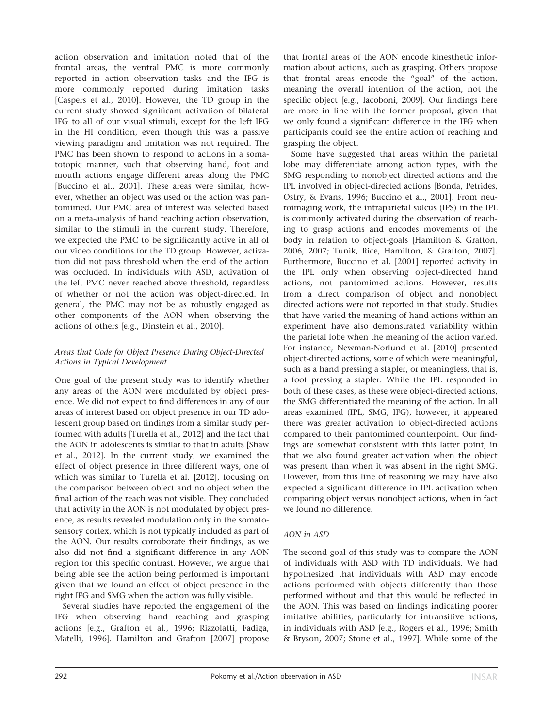action observation and imitation noted that of the frontal areas, the ventral PMC is more commonly reported in action observation tasks and the IFG is more commonly reported during imitation tasks [Caspers et al., 2010]. However, the TD group in the current study showed significant activation of bilateral IFG to all of our visual stimuli, except for the left IFG in the HI condition, even though this was a passive viewing paradigm and imitation was not required. The PMC has been shown to respond to actions in a somatotopic manner, such that observing hand, foot and mouth actions engage different areas along the PMC [Buccino et al., 2001]. These areas were similar, however, whether an object was used or the action was pantomimed. Our PMC area of interest was selected based on a meta-analysis of hand reaching action observation, similar to the stimuli in the current study. Therefore, we expected the PMC to be significantly active in all of our video conditions for the TD group. However, activation did not pass threshold when the end of the action was occluded. In individuals with ASD, activation of the left PMC never reached above threshold, regardless of whether or not the action was object-directed. In general, the PMC may not be as robustly engaged as other components of the AON when observing the actions of others [e.g., Dinstein et al., 2010].

# Areas that Code for Object Presence During Object-Directed Actions in Typical Development

One goal of the present study was to identify whether any areas of the AON were modulated by object presence. We did not expect to find differences in any of our areas of interest based on object presence in our TD adolescent group based on findings from a similar study performed with adults [Turella et al., 2012] and the fact that the AON in adolescents is similar to that in adults [Shaw et al., 2012]. In the current study, we examined the effect of object presence in three different ways, one of which was similar to Turella et al. [2012], focusing on the comparison between object and no object when the final action of the reach was not visible. They concluded that activity in the AON is not modulated by object presence, as results revealed modulation only in the somatosensory cortex, which is not typically included as part of the AON. Our results corroborate their findings, as we also did not find a significant difference in any AON region for this specific contrast. However, we argue that being able see the action being performed is important given that we found an effect of object presence in the right IFG and SMG when the action was fully visible.

Several studies have reported the engagement of the IFG when observing hand reaching and grasping actions [e.g., Grafton et al., 1996; Rizzolatti, Fadiga, Matelli, 1996]. Hamilton and Grafton [2007] propose that frontal areas of the AON encode kinesthetic information about actions, such as grasping. Others propose that frontal areas encode the "goal" of the action, meaning the overall intention of the action, not the specific object [e.g., Iacoboni, 2009]. Our findings here are more in line with the former proposal, given that we only found a significant difference in the IFG when participants could see the entire action of reaching and grasping the object.

Some have suggested that areas within the parietal lobe may differentiate among action types, with the SMG responding to nonobject directed actions and the IPL involved in object-directed actions [Bonda, Petrides, Ostry, & Evans, 1996; Buccino et al., 2001]. From neuroimaging work, the intraparietal sulcus (IPS) in the IPL is commonly activated during the observation of reaching to grasp actions and encodes movements of the body in relation to object-goals [Hamilton & Grafton, 2006, 2007; Tunik, Rice, Hamilton, & Grafton, 2007]. Furthermore, Buccino et al. [2001] reported activity in the IPL only when observing object-directed hand actions, not pantomimed actions. However, results from a direct comparison of object and nonobject directed actions were not reported in that study. Studies that have varied the meaning of hand actions within an experiment have also demonstrated variability within the parietal lobe when the meaning of the action varied. For instance, Newman-Norlund et al. [2010] presented object-directed actions, some of which were meaningful, such as a hand pressing a stapler, or meaningless, that is, a foot pressing a stapler. While the IPL responded in both of these cases, as these were object-directed actions, the SMG differentiated the meaning of the action. In all areas examined (IPL, SMG, IFG), however, it appeared there was greater activation to object-directed actions compared to their pantomimed counterpoint. Our findings are somewhat consistent with this latter point, in that we also found greater activation when the object was present than when it was absent in the right SMG. However, from this line of reasoning we may have also expected a significant difference in IPL activation when comparing object versus nonobject actions, when in fact we found no difference.

# AON in ASD

The second goal of this study was to compare the AON of individuals with ASD with TD individuals. We had hypothesized that individuals with ASD may encode actions performed with objects differently than those performed without and that this would be reflected in the AON. This was based on findings indicating poorer imitative abilities, particularly for intransitive actions, in individuals with ASD [e.g., Rogers et al., 1996; Smith & Bryson, 2007; Stone et al., 1997]. While some of the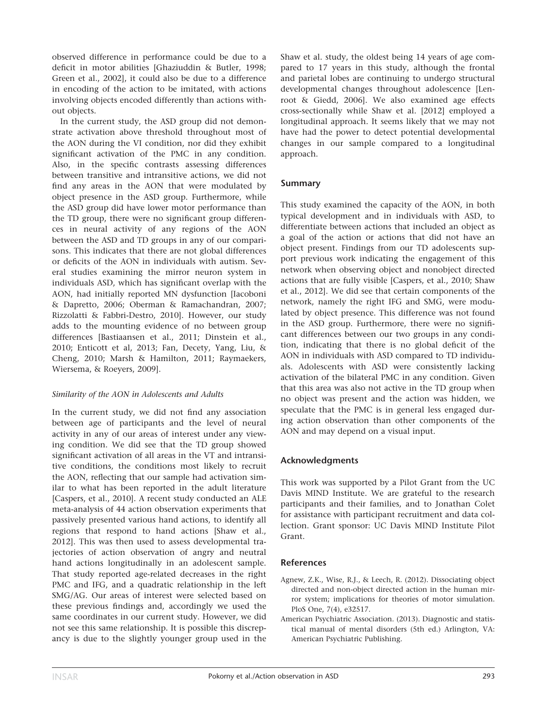observed difference in performance could be due to a deficit in motor abilities [Ghaziuddin & Butler, 1998; Green et al., 2002], it could also be due to a difference in encoding of the action to be imitated, with actions involving objects encoded differently than actions without objects.

In the current study, the ASD group did not demonstrate activation above threshold throughout most of the AON during the VI condition, nor did they exhibit significant activation of the PMC in any condition. Also, in the specific contrasts assessing differences between transitive and intransitive actions, we did not find any areas in the AON that were modulated by object presence in the ASD group. Furthermore, while the ASD group did have lower motor performance than the TD group, there were no significant group differences in neural activity of any regions of the AON between the ASD and TD groups in any of our comparisons. This indicates that there are not global differences or deficits of the AON in individuals with autism. Several studies examining the mirror neuron system in individuals ASD, which has significant overlap with the AON, had initially reported MN dysfunction [Iacoboni & Dapretto, 2006; Oberman & Ramachandran, 2007; Rizzolatti & Fabbri-Destro, 2010]. However, our study adds to the mounting evidence of no between group differences [Bastiaansen et al., 2011; Dinstein et al., 2010; Enticott et al, 2013; Fan, Decety, Yang, Liu, & Cheng, 2010; Marsh & Hamilton, 2011; Raymaekers, Wiersema, & Roeyers, 2009].

# Similarity of the AON in Adolescents and Adults

In the current study, we did not find any association between age of participants and the level of neural activity in any of our areas of interest under any viewing condition. We did see that the TD group showed significant activation of all areas in the VT and intransitive conditions, the conditions most likely to recruit the AON, reflecting that our sample had activation similar to what has been reported in the adult literature [Caspers, et al., 2010]. A recent study conducted an ALE meta-analysis of 44 action observation experiments that passively presented various hand actions, to identify all regions that respond to hand actions [Shaw et al., 2012]. This was then used to assess developmental trajectories of action observation of angry and neutral hand actions longitudinally in an adolescent sample. That study reported age-related decreases in the right PMC and IFG, and a quadratic relationship in the left SMG/AG. Our areas of interest were selected based on these previous findings and, accordingly we used the same coordinates in our current study. However, we did not see this same relationship. It is possible this discrepancy is due to the slightly younger group used in the Shaw et al. study, the oldest being 14 years of age compared to 17 years in this study, although the frontal and parietal lobes are continuing to undergo structural developmental changes throughout adolescence [Lenroot & Giedd, 2006]. We also examined age effects cross-sectionally while Shaw et al. [2012] employed a longitudinal approach. It seems likely that we may not have had the power to detect potential developmental changes in our sample compared to a longitudinal approach.

#### Summary

This study examined the capacity of the AON, in both typical development and in individuals with ASD, to differentiate between actions that included an object as a goal of the action or actions that did not have an object present. Findings from our TD adolescents support previous work indicating the engagement of this network when observing object and nonobject directed actions that are fully visible [Caspers, et al., 2010; Shaw et al., 2012]. We did see that certain components of the network, namely the right IFG and SMG, were modulated by object presence. This difference was not found in the ASD group. Furthermore, there were no significant differences between our two groups in any condition, indicating that there is no global deficit of the AON in individuals with ASD compared to TD individuals. Adolescents with ASD were consistently lacking activation of the bilateral PMC in any condition. Given that this area was also not active in the TD group when no object was present and the action was hidden, we speculate that the PMC is in general less engaged during action observation than other components of the AON and may depend on a visual input.

# Acknowledgments

This work was supported by a Pilot Grant from the UC Davis MIND Institute. We are grateful to the research participants and their families, and to Jonathan Colet for assistance with participant recruitment and data collection. Grant sponsor: UC Davis MIND Institute Pilot Grant.

#### References

- Agnew, Z.K., Wise, R.J., & Leech, R. (2012). Dissociating object directed and non-object directed action in the human mirror system; implications for theories of motor simulation. PloS One, 7(4), e32517.
- American Psychiatric Association. (2013). Diagnostic and statistical manual of mental disorders (5th ed.) Arlington, VA: American Psychiatric Publishing.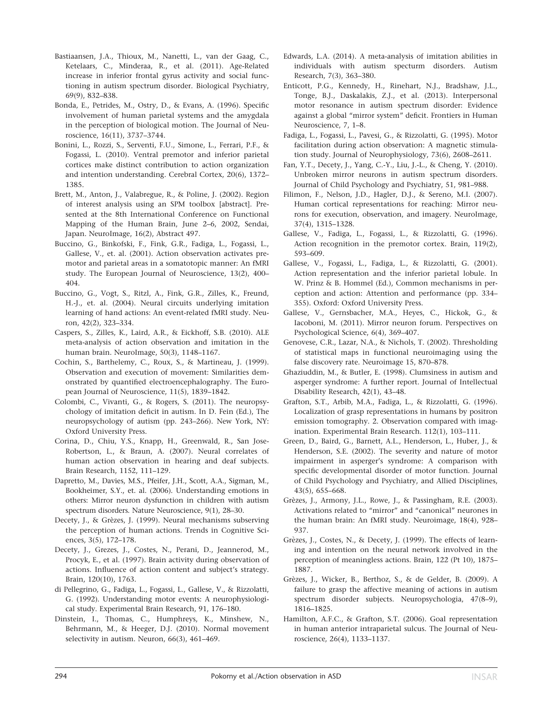- Bastiaansen, J.A., Thioux, M., Nanetti, L., van der Gaag, C., Ketelaars, C., Minderaa, R., et al. (2011). Age-Related increase in inferior frontal gyrus activity and social functioning in autism spectrum disorder. Biological Psychiatry, 69(9), 832–838.
- Bonda, E., Petrides, M., Ostry, D., & Evans, A. (1996). Specific involvement of human parietal systems and the amygdala in the perception of biological motion. The Journal of Neuroscience, 16(11), 3737–3744.
- Bonini, L., Rozzi, S., Serventi, F.U., Simone, L., Ferrari, P.F., & Fogassi, L. (2010). Ventral premotor and inferior parietal cortices make distinct contribution to action organization and intention understanding. Cerebral Cortex, 20(6), 1372– 1385.
- Brett, M., Anton, J., Valabregue, R., & Poline, J. (2002). Region of interest analysis using an SPM toolbox [abstract]. Presented at the 8th International Conference on Functional Mapping of the Human Brain, June 2–6, 2002, Sendai, Japan. NeuroImage, 16(2), Abstract 497.
- Buccino, G., Binkofski, F., Fink, G.R., Fadiga, L., Fogassi, L., Gallese, V., et. al. (2001). Action observation activates premotor and parietal areas in a somatotopic manner: An fMRI study. The European Journal of Neuroscience, 13(2), 400– 404.
- Buccino, G., Vogt, S., Ritzl, A., Fink, G.R., Zilles, K., Freund, H.-J., et. al. (2004). Neural circuits underlying imitation learning of hand actions: An event-related fMRI study. Neuron, 42(2), 323–334.
- Caspers, S., Zilles, K., Laird, A.R., & Eickhoff, S.B. (2010). ALE meta-analysis of action observation and imitation in the human brain. NeuroImage, 50(3), 1148–1167.
- Cochin, S., Barthelemy, C., Roux, S., & Martineau, J. (1999). Observation and execution of movement: Similarities demonstrated by quantified electroencephalography. The European Journal of Neuroscience, 11(5), 1839–1842.
- Colombi, C., Vivanti, G., & Rogers, S. (2011). The neuropsychology of imitation deficit in autism. In D. Fein (Ed.), The neuropsychology of autism (pp. 243–266). New York, NY: Oxford University Press.
- Corina, D., Chiu, Y.S., Knapp, H., Greenwald, R., San Jose-Robertson, L., & Braun, A. (2007). Neural correlates of human action observation in hearing and deaf subjects. Brain Research, 1152, 111–129.
- Dapretto, M., Davies, M.S., Pfeifer, J.H., Scott, A.A., Sigman, M., Bookheimer, S.Y., et. al. (2006). Understanding emotions in others: Mirror neuron dysfunction in children with autism spectrum disorders. Nature Neuroscience, 9(1), 28–30.
- Decety, J., & Grèzes, J. (1999). Neural mechanisms subserving the perception of human actions. Trends in Cognitive Sciences, 3(5), 172–178.
- Decety, J., Grezes, J., Costes, N., Perani, D., Jeannerod, M., Procyk, E., et al. (1997). Brain activity during observation of actions. Influence of action content and subject's strategy. Brain, 120(10), 1763.
- di Pellegrino, G., Fadiga, L., Fogassi, L., Gallese, V., & Rizzolatti, G. (1992). Understanding motor events: A neurophysiological study. Experimental Brain Research, 91, 176–180.
- Dinstein, I., Thomas, C., Humphreys, K., Minshew, N., Behrmann, M., & Heeger, D.J. (2010). Normal movement selectivity in autism. Neuron, 66(3), 461–469.
- Edwards, L.A. (2014). A meta-analysis of imitation abilities in individuals with autism specturm disorders. Autism Research, 7(3), 363–380.
- Enticott, P.G., Kennedy, H., Rinehart, N.J., Bradshaw, J.L., Tonge, B.J., Daskalakis, Z.J., et al. (2013). Interpersonal motor resonance in autism spectrum disorder: Evidence against a global "mirror system" deficit. Frontiers in Human Neuroscience, 7, 1–8.
- Fadiga, L., Fogassi, L., Pavesi, G., & Rizzolatti, G. (1995). Motor facilitation during action observation: A magnetic stimulation study. Journal of Neurophysiology, 73(6), 2608–2611.
- Fan, Y.T., Decety, J., Yang, C.-Y., Liu, J.-L., & Cheng, Y. (2010). Unbroken mirror neurons in autism spectrum disorders. Journal of Child Psychology and Psychiatry, 51, 981–988.
- Filimon, F., Nelson, J.D., Hagler, D.J., & Sereno, M.I. (2007). Human cortical representations for reaching: Mirror neurons for execution, observation, and imagery. NeuroImage, 37(4), 1315–1328.
- Gallese, V., Fadiga, L., Fogassi, L., & Rizzolatti, G. (1996). Action recognition in the premotor cortex. Brain, 119(2), 593–609.
- Gallese, V., Fogassi, L., Fadiga, L., & Rizzolatti, G. (2001). Action representation and the inferior parietal lobule. In W. Prinz & B. Hommel (Ed.), Common mechanisms in perception and action: Attention and performance (pp. 334– 355). Oxford: Oxford University Press.
- Gallese, V., Gernsbacher, M.A., Heyes, C., Hickok, G., & Iacoboni, M. (2011). Mirror neuron forum. Perspectives on Psychological Science, 6(4), 369–407.
- Genovese, C.R., Lazar, N.A., & Nichols, T. (2002). Thresholding of statistical maps in functional neuroimaging using the false discovery rate. Neuroimage 15, 870–878.
- Ghaziuddin, M., & Butler, E. (1998). Clumsiness in autism and asperger syndrome: A further report. Journal of Intellectual Disability Research, 42(1), 43–48.
- Grafton, S.T., Arbib, M.A., Fadiga, L., & Rizzolatti, G. (1996). Localization of grasp representations in humans by positron emission tomography. 2. Observation compared with imagination. Experimental Brain Research. 112(1), 103–111.
- Green, D., Baird, G., Barnett, A.L., Henderson, L., Huber, J., & Henderson, S.E. (2002). The severity and nature of motor impairment in asperger's syndrome: A comparison with specific developmental disorder of motor function. Journal of Child Psychology and Psychiatry, and Allied Disciplines, 43(5), 655–668.
- Grèzes, J., Armony, J.L., Rowe, J., & Passingham, R.E. (2003). Activations related to "mirror" and "canonical" neurones in the human brain: An fMRI study. Neuroimage, 18(4), 928– 937.
- Grèzes, J., Costes, N., & Decety, J. (1999). The effects of learning and intention on the neural network involved in the perception of meaningless actions. Brain, 122 (Pt 10), 1875– 1887.
- Grèzes, J., Wicker, B., Berthoz, S., & de Gelder, B. (2009). A failure to grasp the affective meaning of actions in autism spectrum disorder subjects. Neuropsychologia, 47(8–9), 1816–1825.
- Hamilton, A.F.C., & Grafton, S.T. (2006). Goal representation in human anterior intraparietal sulcus. The Journal of Neuroscience, 26(4), 1133–1137.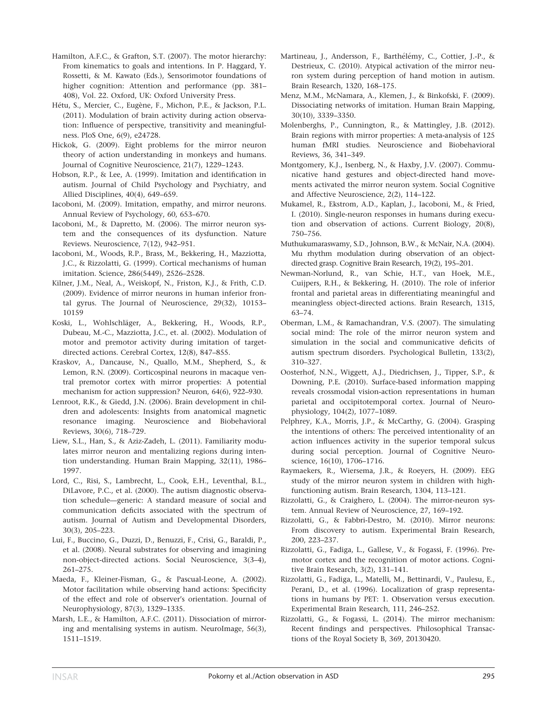- Hamilton, A.F.C., & Grafton, S.T. (2007). The motor hierarchy: From kinematics to goals and intentions. In P. Haggard, Y. Rossetti, & M. Kawato (Eds.), Sensorimotor foundations of higher cognition: Attention and performance (pp. 381– 408), Vol. 22. Oxford, UK: Oxford University Press.
- Hétu, S., Mercier, C., Eugène, F., Michon, P.E., & Jackson, P.L. (2011). Modulation of brain activity during action observation: Influence of perspective, transitivity and meaningfulness. PloS One, 6(9), e24728.
- Hickok, G. (2009). Eight problems for the mirror neuron theory of action understanding in monkeys and humans. Journal of Cognitive Neuroscience, 21(7), 1229–1243.
- Hobson, R.P., & Lee, A. (1999). Imitation and identification in autism. Journal of Child Psychology and Psychiatry, and Allied Disciplines, 40(4), 649–659.
- Iacoboni, M. (2009). Imitation, empathy, and mirror neurons. Annual Review of Psychology, 60, 653–670.
- Iacoboni, M., & Dapretto, M. (2006). The mirror neuron system and the consequences of its dysfunction. Nature Reviews. Neuroscience, 7(12), 942–951.
- Iacoboni, M., Woods, R.P., Brass, M., Bekkering, H., Mazziotta, J.C., & Rizzolatti, G. (1999). Cortical mechanisms of human imitation. Science, 286(5449), 2526–2528.
- Kilner, J.M., Neal, A., Weiskopf, N., Friston, K.J., & Frith, C.D. (2009). Evidence of mirror neurons in human inferior frontal gyrus. The Journal of Neuroscience, 29(32), 10153– 10159
- Koski, L., Wohlschläger, A., Bekkering, H., Woods, R.P., Dubeau, M.-C., Mazziotta, J.C., et. al. (2002). Modulation of motor and premotor activity during imitation of targetdirected actions. Cerebral Cortex, 12(8), 847–855.
- Kraskov, A., Dancause, N., Quallo, M.M., Shepherd, S., & Lemon, R.N. (2009). Corticospinal neurons in macaque ventral premotor cortex with mirror properties: A potential mechanism for action suppression? Neuron, 64(6), 922–930.
- Lenroot, R.K., & Giedd, J.N. (2006). Brain development in children and adolescents: Insights from anatomical magnetic resonance imaging. Neuroscience and Biobehavioral Reviews, 30(6), 718–729.
- Liew, S.L., Han, S., & Aziz-Zadeh, L. (2011). Familiarity modulates mirror neuron and mentalizing regions during intention understanding. Human Brain Mapping, 32(11), 1986– 1997.
- Lord, C., Risi, S., Lambrecht, L., Cook, E.H., Leventhal, B.L., DiLavore, P.C., et al. (2000). The autism diagnostic observation schedule—generic: A standard measure of social and communication deficits associated with the spectrum of autism. Journal of Autism and Developmental Disorders, 30(3), 205–223.
- Lui, F., Buccino, G., Duzzi, D., Benuzzi, F., Crisi, G., Baraldi, P., et al. (2008). Neural substrates for observing and imagining non-object-directed actions. Social Neuroscience, 3(3–4), 261–275.
- Maeda, F., Kleiner-Fisman, G., & Pascual-Leone, A. (2002). Motor facilitation while observing hand actions: Specificity of the effect and role of observer's orientation. Journal of Neurophysiology, 87(3), 1329–1335.
- Marsh, L.E., & Hamilton, A.F.C. (2011). Dissociation of mirroring and mentalising systems in autism. NeuroImage, 56(3), 1511–1519.
- Martineau, J., Andersson, F., Barthélémy, C., Cottier, J.-P., & Destrieux, C. (2010). Atypical activation of the mirror neuron system during perception of hand motion in autism. Brain Research, 1320, 168–175.
- Menz, M.M., McNamara, A., Klemen, J., & Binkofski, F. (2009). Dissociating networks of imitation. Human Brain Mapping, 30(10), 3339–3350.
- Molenberghs, P., Cunnington, R., & Mattingley, J.B. (2012). Brain regions with mirror properties: A meta-analysis of 125 human fMRI studies. Neuroscience and Biobehavioral Reviews, 36, 341–349.
- Montgomery, K.J., Isenberg, N., & Haxby, J.V. (2007). Communicative hand gestures and object-directed hand movements activated the mirror neuron system. Social Cognitive and Affective Neuroscience, 2(2), 114–122.
- Mukamel, R., Ekstrom, A.D., Kaplan, J., Iacoboni, M., & Fried, I. (2010). Single-neuron responses in humans during execution and observation of actions. Current Biology, 20(8), 750–756.
- Muthukumaraswamy, S.D., Johnson, B.W., & McNair, N.A. (2004). Mu rhythm modulation during observation of an objectdirected grasp. Cognitive Brain Research, 19(2), 195–201.
- Newman-Norlund, R., van Schie, H.T., van Hoek, M.E., Cuijpers, R.H., & Bekkering, H. (2010). The role of inferior frontal and parietal areas in differentiating meaningful and meaningless object-directed actions. Brain Research, 1315, 63–74.
- Oberman, L.M., & Ramachandran, V.S. (2007). The simulating social mind: The role of the mirror neuron system and simulation in the social and communicative deficits of autism spectrum disorders. Psychological Bulletin, 133(2), 310–327.
- Oosterhof, N.N., Wiggett, A.J., Diedrichsen, J., Tipper, S.P., & Downing, P.E. (2010). Surface-based information mapping reveals crossmodal vision-action representations in human parietal and occipitotemporal cortex. Journal of Neurophysiology, 104(2), 1077–1089.
- Pelphrey, K.A., Morris, J.P., & McCarthy, G. (2004). Grasping the intentions of others: The perceived intentionality of an action influences activity in the superior temporal sulcus during social perception. Journal of Cognitive Neuroscience, 16(10), 1706–1716.
- Raymaekers, R., Wiersema, J.R., & Roeyers, H. (2009). EEG study of the mirror neuron system in children with highfunctioning autism. Brain Research, 1304, 113–121.
- Rizzolatti, G., & Craighero, L. (2004). The mirror-neuron system. Annual Review of Neuroscience, 27, 169–192.
- Rizzolatti, G., & Fabbri-Destro, M. (2010). Mirror neurons: From discovery to autism. Experimental Brain Research, 200, 223–237.
- Rizzolatti, G., Fadiga, L., Gallese, V., & Fogassi, F. (1996). Premotor cortex and the recognition of motor actions. Cognitive Brain Research, 3(2), 131–141.
- Rizzolatti, G., Fadiga, L., Matelli, M., Bettinardi, V., Paulesu, E., Perani, D., et al. (1996). Localization of grasp representations in humans by PET: 1. Observation versus execution. Experimental Brain Research, 111, 246–252.
- Rizzolatti, G., & Fogassi, L. (2014). The mirror mechanism: Recent findings and perspectives. Philosophical Transactions of the Royal Society B, 369, 20130420.